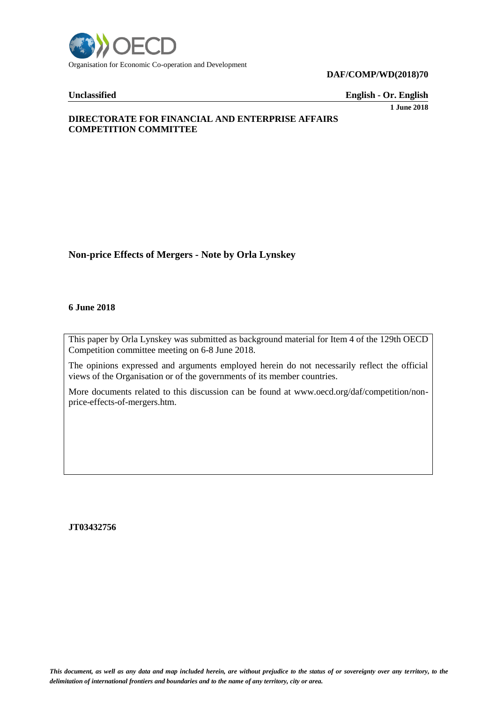

**DAF/COMP/WD(2018)70**

**Unclassified English - Or. English**

**1 June 2018**

# **DIRECTORATE FOR FINANCIAL AND ENTERPRISE AFFAIRS COMPETITION COMMITTEE**

# **Non-price Effects of Mergers - Note by Orla Lynskey**

#### **6 June 2018**

This paper by Orla Lynskey was submitted as background material for Item 4 of the 129th OECD Competition committee meeting on 6-8 June 2018.

The opinions expressed and arguments employed herein do not necessarily reflect the official views of the Organisation or of the governments of its member countries.

More documents related to this discussion can be found at www.oecd.org/daf/competition/nonprice-effects-of-mergers.htm.

**JT03432756**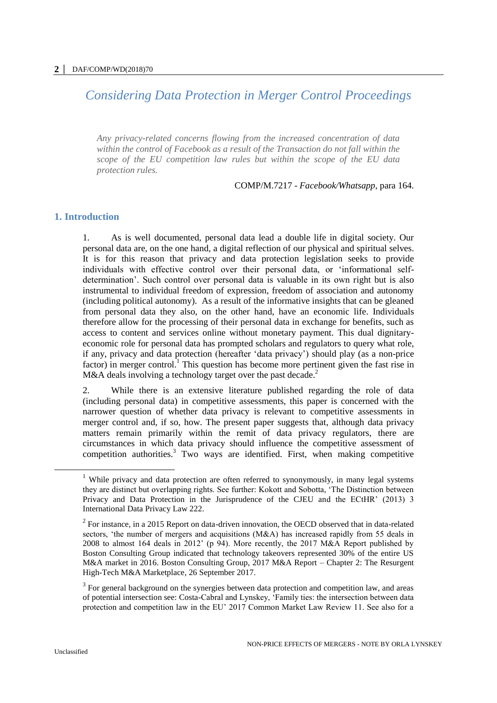# *Considering Data Protection in Merger Control Proceedings*

*Any privacy-related concerns flowing from the increased concentration of data within the control of Facebook as a result of the Transaction do not fall within the scope of the EU competition law rules but within the scope of the EU data protection rules.*

COMP/M.7217 - *Facebook/Whatsapp*, para 164.

# **1. Introduction**

1. As is well documented, personal data lead a double life in digital society. Our personal data are, on the one hand, a digital reflection of our physical and spiritual selves. It is for this reason that privacy and data protection legislation seeks to provide individuals with effective control over their personal data, or 'informational selfdetermination'. Such control over personal data is valuable in its own right but is also instrumental to individual freedom of expression, freedom of association and autonomy (including political autonomy). As a result of the informative insights that can be gleaned from personal data they also, on the other hand, have an economic life. Individuals therefore allow for the processing of their personal data in exchange for benefits, such as access to content and services online without monetary payment. This dual dignitaryeconomic role for personal data has prompted scholars and regulators to query what role, if any, privacy and data protection (hereafter 'data privacy') should play (as a non-price factor) in merger control.<sup>1</sup> This question has become more pertinent given the fast rise in M&A deals involving a technology target over the past decade.<sup>2</sup>

2. While there is an extensive literature published regarding the role of data (including personal data) in competitive assessments, this paper is concerned with the narrower question of whether data privacy is relevant to competitive assessments in merger control and, if so, how. The present paper suggests that, although data privacy matters remain primarily within the remit of data privacy regulators, there are circumstances in which data privacy should influence the competitive assessment of competition authorities.<sup>3</sup> Two ways are identified. First, when making competitive

<sup>&</sup>lt;sup>1</sup> While privacy and data protection are often referred to synonymously, in many legal systems they are distinct but overlapping rights. See further: Kokott and Sobotta, 'The Distinction between Privacy and Data Protection in the Jurisprudence of the CJEU and the ECtHR' (2013) 3 International Data Privacy Law 222.

 $2^2$  For instance, in a 2015 Report on data-driven innovation, the OECD observed that in data-related sectors, 'the number of mergers and acquisitions (M&A) has increased rapidly from 55 deals in 2008 to almost 164 deals in 2012' (p 94). More recently, the 2017 M&A Report published by Boston Consulting Group indicated that technology takeovers represented 30% of the entire US M&A market in 2016. Boston Consulting Group, 2017 M&A Report – Chapter 2: The Resurgent High-Tech M&A Marketplace, 26 September 2017.

 $3$  For general background on the synergies between data protection and competition law, and areas of potential intersection see: Costa-Cabral and Lynskey, 'Family ties: the intersection between data protection and competition law in the EU' 2017 Common Market Law Review 11. See also for a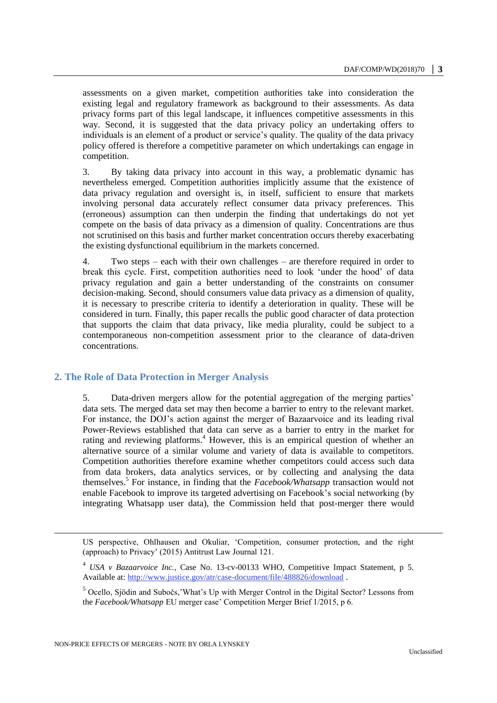assessments on a given market, competition authorities take into consideration the existing legal and regulatory framework as background to their assessments. As data privacy forms part of this legal landscape, it influences competitive assessments in this way. Second, it is suggested that the data privacy policy an undertaking offers to individuals is an element of a product or service's quality. The quality of the data privacy policy offered is therefore a competitive parameter on which undertakings can engage in competition.

3. By taking data privacy into account in this way, a problematic dynamic has nevertheless emerged. Competition authorities implicitly assume that the existence of data privacy regulation and oversight is, in itself, sufficient to ensure that markets involving personal data accurately reflect consumer data privacy preferences. This (erroneous) assumption can then underpin the finding that undertakings do not yet compete on the basis of data privacy as a dimension of quality. Concentrations are thus not scrutinised on this basis and further market concentration occurs thereby exacerbating the existing dysfunctional equilibrium in the markets concerned.

4. Two steps – each with their own challenges – are therefore required in order to break this cycle. First, competition authorities need to look 'under the hood' of data privacy regulation and gain a better understanding of the constraints on consumer decision-making. Second, should consumers value data privacy as a dimension of quality, it is necessary to prescribe criteria to identify a deterioration in quality. These will be considered in turn. Finally, this paper recalls the public good character of data protection that supports the claim that data privacy, like media plurality, could be subject to a contemporaneous non-competition assessment prior to the clearance of data-driven concentrations.

# **2. The Role of Data Protection in Merger Analysis**

5. Data-driven mergers allow for the potential aggregation of the merging parties' data sets. The merged data set may then become a barrier to entry to the relevant market. For instance, the DOJ's action against the merger of Bazaarvoice and its leading rival Power-Reviews established that data can serve as a barrier to entry in the market for rating and reviewing platforms.<sup>4</sup> However, this is an empirical question of whether an alternative source of a similar volume and variety of data is available to competitors. Competition authorities therefore examine whether competitors could access such data from data brokers, data analytics services, or by collecting and analysing the data themselves.<sup>5</sup> For instance, in finding that the *Facebook/Whatsapp* transaction would not enable Facebook to improve its targeted advertising on Facebook's social networking (by integrating Whatsapp user data), the Commission held that post-merger there would

-

US perspective, Ohlhausen and Okuliar, 'Competition, consumer protection, and the right (approach) to Privacy' (2015) Antitrust Law Journal 121.

<sup>4</sup> *USA v Bazaarvoice Inc.*, Case No. 13-cv-00133 WHO, Competitive Impact Statement, p 5. Available at:<http://www.justice.gov/atr/case-document/file/488826/download> .

<sup>5</sup> Ocello, Sjödin and Subočs,'What's Up with Merger Control in the Digital Sector? Lessons from the *Facebook/Whatsapp* EU merger case' Competition Merger Brief 1/2015, p 6.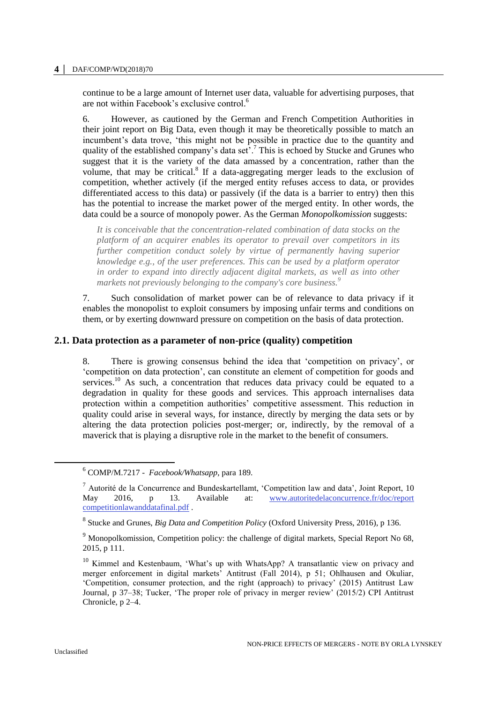#### **4 │** DAF/COMP/WD(2018)70

continue to be a large amount of Internet user data, valuable for advertising purposes, that are not within Facebook's exclusive control. 6

6. However, as cautioned by the German and French Competition Authorities in their joint report on Big Data, even though it may be theoretically possible to match an incumbent's data trove, 'this might not be possible in practice due to the quantity and quality of the established company's data set'.<sup>7</sup> This is echoed by Stucke and Grunes who suggest that it is the variety of the data amassed by a concentration, rather than the volume, that may be critical. $8$  If a data-aggregating merger leads to the exclusion of competition, whether actively (if the merged entity refuses access to data, or provides differentiated access to this data) or passively (if the data is a barrier to entry) then this has the potential to increase the market power of the merged entity. In other words, the data could be a source of monopoly power. As the German *Monopolkomission* suggests:

*It is conceivable that the concentration-related combination of data stocks on the platform of an acquirer enables its operator to prevail over competitors in its further competition conduct solely by virtue of permanently having superior knowledge e.g., of the user preferences. This can be used by a platform operator in order to expand into directly adjacent digital markets, as well as into other markets not previously belonging to the company's core business.<sup>9</sup>*

7. Such consolidation of market power can be of relevance to data privacy if it enables the monopolist to exploit consumers by imposing unfair terms and conditions on them, or by exerting downward pressure on competition on the basis of data protection.

### **2.1. Data protection as a parameter of non-price (quality) competition**

8. There is growing consensus behind the idea that 'competition on privacy', or 'competition on data protection', can constitute an element of competition for goods and services.<sup>10</sup> As such, a concentration that reduces data privacy could be equated to a degradation in quality for these goods and services. This approach internalises data protection within a competition authorities' competitive assessment. This reduction in quality could arise in several ways, for instance, directly by merging the data sets or by altering the data protection policies post-merger; or, indirectly, by the removal of a maverick that is playing a disruptive role in the market to the benefit of consumers.

<sup>6</sup> COMP/M.7217 - *Facebook/Whatsapp*, para 189.

<sup>&</sup>lt;sup>7</sup> Autorité de la Concurrence and Bundeskartellamt, 'Competition law and data', Joint Report, 10<br>May 2016, p 13. Available at: www.autoritedelaconcurrence.fr/doc/report May 2016, p 13. Available at: [www.autoritedelaconcurrence.fr/doc/report](http://www.autoritedelaconcurrence.fr/doc/reportcompetitionlawanddatafinal.pdf) [competitionlawanddatafinal.pdf](http://www.autoritedelaconcurrence.fr/doc/reportcompetitionlawanddatafinal.pdf) .

<sup>8</sup> Stucke and Grunes, *Big Data and Competition Policy* (Oxford University Press, 2016), p 136.

<sup>&</sup>lt;sup>9</sup> Monopolkomission, Competition policy: the challenge of digital markets, Special Report No 68, 2015, p 111.

<sup>&</sup>lt;sup>10</sup> Kimmel and Kestenbaum, 'What's up with WhatsApp? A transatlantic view on privacy and merger enforcement in digital markets' Antitrust (Fall 2014), p 51; Ohlhausen and Okuliar, 'Competition, consumer protection, and the right (approach) to privacy' (2015) Antitrust Law Journal, p 37–38; Tucker, 'The proper role of privacy in merger review' (2015/2) CPI Antitrust Chronicle, p 2–4.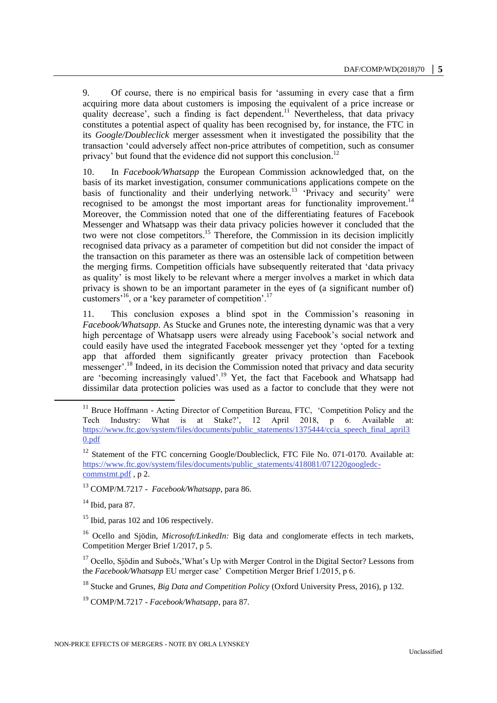9. Of course, there is no empirical basis for 'assuming in every case that a firm acquiring more data about customers is imposing the equivalent of a price increase or quality decrease', such a finding is fact dependent.<sup>11</sup> Nevertheless, that data privacy constitutes a potential aspect of quality has been recognised by, for instance, the FTC in its *Google/Doubleclick* merger assessment when it investigated the possibility that the transaction 'could adversely affect non-price attributes of competition, such as consumer privacy' but found that the evidence did not support this conclusion.<sup>12</sup>

10. In *Facebook/Whatsapp* the European Commission acknowledged that, on the basis of its market investigation, consumer communications applications compete on the basis of functionality and their underlying network.<sup>13</sup> 'Privacy and security' were recognised to be amongst the most important areas for functionality improvement.<sup>14</sup> Moreover, the Commission noted that one of the differentiating features of Facebook Messenger and Whatsapp was their data privacy policies however it concluded that the two were not close competitors. <sup>15</sup> Therefore, the Commission in its decision implicitly recognised data privacy as a parameter of competition but did not consider the impact of the transaction on this parameter as there was an ostensible lack of competition between the merging firms. Competition officials have subsequently reiterated that 'data privacy as quality' is most likely to be relevant where a merger involves a market in which data privacy is shown to be an important parameter in the eyes of (a significant number of) customers<sup> $16$ </sup>, or a 'key parameter of competition'.<sup>17</sup>

11. This conclusion exposes a blind spot in the Commission's reasoning in *Facebook/Whatsapp*. As Stucke and Grunes note, the interesting dynamic was that a very high percentage of Whatsapp users were already using Facebook's social network and could easily have used the integrated Facebook messenger yet they 'opted for a texting app that afforded them significantly greater privacy protection than Facebook messenger'.<sup>18</sup> Indeed, in its decision the Commission noted that privacy and data security are 'becoming increasingly valued'.<sup>19</sup> Yet, the fact that Facebook and Whatsapp had dissimilar data protection policies was used as a factor to conclude that they were not

 $14$  Ibid, para 87.

 $\overline{a}$ 

<sup>15</sup> Ibid, paras 102 and 106 respectively.

<sup>16</sup> Ocello and Sjödin, *Microsoft/LinkedIn:* Big data and conglomerate effects in tech markets, Competition Merger Brief 1/2017, p 5.

<sup>17</sup> Ocello, Sjödin and Subočs,'What's Up with Merger Control in the Digital Sector? Lessons from the *Facebook/Whatsapp* EU merger case' Competition Merger Brief 1/2015, p 6.

<sup>18</sup> Stucke and Grunes, *Big Data and Competition Policy* (Oxford University Press, 2016), p 132.

<sup>19</sup> COMP/M.7217 - *Facebook/Whatsapp*, para 87.

<sup>&</sup>lt;sup>11</sup> Bruce Hoffmann - Acting Director of Competition Bureau, FTC, 'Competition Policy and the Tech Industry: What is at Stake?', 12 April 2018, p 6. Available at: [https://www.ftc.gov/system/files/documents/public\\_statements/1375444/ccia\\_speech\\_final\\_april3](https://www.ftc.gov/system/files/documents/public_statements/1375444/ccia_speech_final_april30.pdf) [0.pdf](https://www.ftc.gov/system/files/documents/public_statements/1375444/ccia_speech_final_april30.pdf) 

 $12$  Statement of the FTC concerning Google/Doubleclick, FTC File No. 071-0170. Available at: [https://www.ftc.gov/system/files/documents/public\\_statements/418081/071220googledc](https://www.ftc.gov/system/files/documents/public_statements/418081/071220googledc-commstmt.pdf)[commstmt.pdf](https://www.ftc.gov/system/files/documents/public_statements/418081/071220googledc-commstmt.pdf), p 2.

<sup>13</sup> COMP/M.7217 - *Facebook/Whatsapp*, para 86.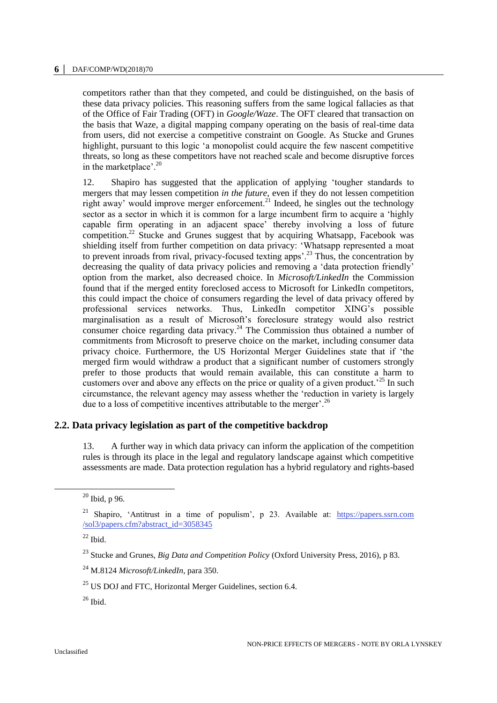#### **6 │** DAF/COMP/WD(2018)70

competitors rather than that they competed, and could be distinguished, on the basis of these data privacy policies. This reasoning suffers from the same logical fallacies as that of the Office of Fair Trading (OFT) in *Google/Waze*. The OFT cleared that transaction on the basis that Waze, a digital mapping company operating on the basis of real-time data from users, did not exercise a competitive constraint on Google. As Stucke and Grunes highlight, pursuant to this logic 'a monopolist could acquire the few nascent competitive threats, so long as these competitors have not reached scale and become disruptive forces in the marketplace'.<sup>20</sup>

12. Shapiro has suggested that the application of applying 'tougher standards to mergers that may lessen competition *in the future*, even if they do not lessen competition right away' would improve merger enforcement.<sup>21</sup> Indeed, he singles out the technology sector as a sector in which it is common for a large incumbent firm to acquire a 'highly capable firm operating in an adjacent space' thereby involving a loss of future competition.<sup>22</sup> Stucke and Grunes suggest that by acquiring Whatsapp, Facebook was shielding itself from further competition on data privacy: 'Whatsapp represented a moat to prevent inroads from rival, privacy-focused texting apps'.<sup>23</sup> Thus, the concentration by decreasing the quality of data privacy policies and removing a 'data protection friendly' option from the market, also decreased choice. In *Microsoft/LinkedIn* the Commission found that if the merged entity foreclosed access to Microsoft for LinkedIn competitors, this could impact the choice of consumers regarding the level of data privacy offered by professional services networks. Thus, LinkedIn competitor XING's possible marginalisation as a result of Microsoft's foreclosure strategy would also restrict consumer choice regarding data privacy.<sup>24</sup> The Commission thus obtained a number of commitments from Microsoft to preserve choice on the market, including consumer data privacy choice. Furthermore, the US Horizontal Merger Guidelines state that if 'the merged firm would withdraw a product that a significant number of customers strongly prefer to those products that would remain available, this can constitute a harm to customers over and above any effects on the price or quality of a given product.<sup> $25$ </sup> In such circumstance, the relevant agency may assess whether the 'reduction in variety is largely due to a loss of competitive incentives attributable to the merger'.<sup>26</sup>

# **2.2. Data privacy legislation as part of the competitive backdrop**

13. A further way in which data privacy can inform the application of the competition rules is through its place in the legal and regulatory landscape against which competitive assessments are made. Data protection regulation has a hybrid regulatory and rights-based

 $20$  Ibid, p 96.

<sup>&</sup>lt;sup>21</sup> Shapiro, 'Antitrust in a time of populism', p 23. Available at: [https://papers.ssrn.com](https://papers.ssrn.com/sol3/papers.cfm?abstract_id=3058345) [/sol3/papers.cfm?abstract\\_id=3058345](https://papers.ssrn.com/sol3/papers.cfm?abstract_id=3058345)

 $22$  Ibid.

<sup>23</sup> Stucke and Grunes, *Big Data and Competition Policy* (Oxford University Press, 2016), p 83.

<sup>24</sup> M.8124 *Microsoft/LinkedIn*, para 350.

 $^{25}$  US DOJ and FTC, Horizontal Merger Guidelines, section 6.4.

 $26$  Ibid.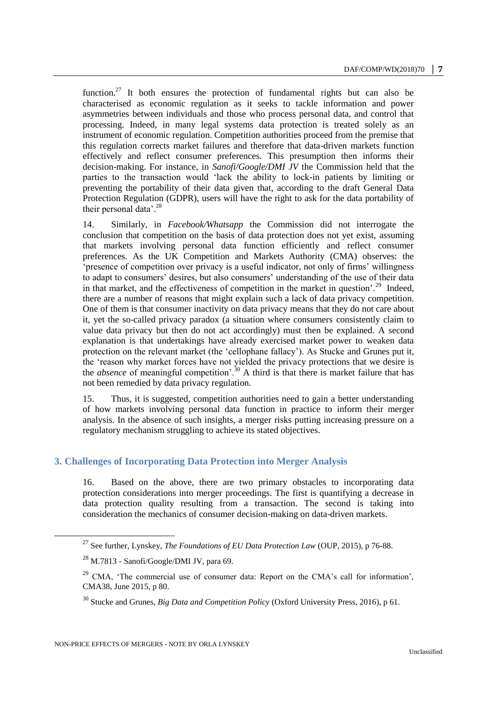function.<sup>27</sup> It both ensures the protection of fundamental rights but can also be characterised as economic regulation as it seeks to tackle information and power asymmetries between individuals and those who process personal data, and control that processing. Indeed, in many legal systems data protection is treated solely as an instrument of economic regulation. Competition authorities proceed from the premise that this regulation corrects market failures and therefore that data-driven markets function effectively and reflect consumer preferences. This presumption then informs their decision-making. For instance, in *Sanofi/Google/DMI JV* the Commission held that the parties to the transaction would 'lack the ability to lock-in patients by limiting or preventing the portability of their data given that, according to the draft General Data Protection Regulation (GDPR), users will have the right to ask for the data portability of their personal data'. $^{28}$ 

14. Similarly, in *Facebook/Whatsapp* the Commission did not interrogate the conclusion that competition on the basis of data protection does not yet exist, assuming that markets involving personal data function efficiently and reflect consumer preferences. As the UK Competition and Markets Authority (CMA) observes: the 'presence of competition over privacy is a useful indicator, not only of firms' willingness to adapt to consumers' desires, but also consumers' understanding of the use of their data in that market, and the effectiveness of competition in the market in question'.<sup>29</sup> Indeed, there are a number of reasons that might explain such a lack of data privacy competition. One of them is that consumer inactivity on data privacy means that they do not care about it, yet the so-called privacy paradox (a situation where consumers consistently claim to value data privacy but then do not act accordingly) must then be explained. A second explanation is that undertakings have already exercised market power to weaken data protection on the relevant market (the 'cellophane fallacy'). As Stucke and Grunes put it, the 'reason why market forces have not yielded the privacy protections that we desire is the *absence* of meaningful competition'.<sup>30</sup> A third is that there is market failure that has not been remedied by data privacy regulation.

15. Thus, it is suggested, competition authorities need to gain a better understanding of how markets involving personal data function in practice to inform their merger analysis. In the absence of such insights, a merger risks putting increasing pressure on a regulatory mechanism struggling to achieve its stated objectives.

# **3. Challenges of Incorporating Data Protection into Merger Analysis**

16. Based on the above, there are two primary obstacles to incorporating data protection considerations into merger proceedings. The first is quantifying a decrease in data protection quality resulting from a transaction. The second is taking into consideration the mechanics of consumer decision-making on data-driven markets.

<sup>27</sup> See further, Lynskey, *The Foundations of EU Data Protection Law* (OUP, 2015), p 76-88.

 $^{28}$  M.7813 - Sanofi/Google/DMI JV, para 69.

<sup>&</sup>lt;sup>29</sup> CMA, 'The commercial use of consumer data: Report on the CMA's call for information', CMA38, June 2015, p 80.

<sup>30</sup> Stucke and Grunes, *Big Data and Competition Policy* (Oxford University Press, 2016), p 61.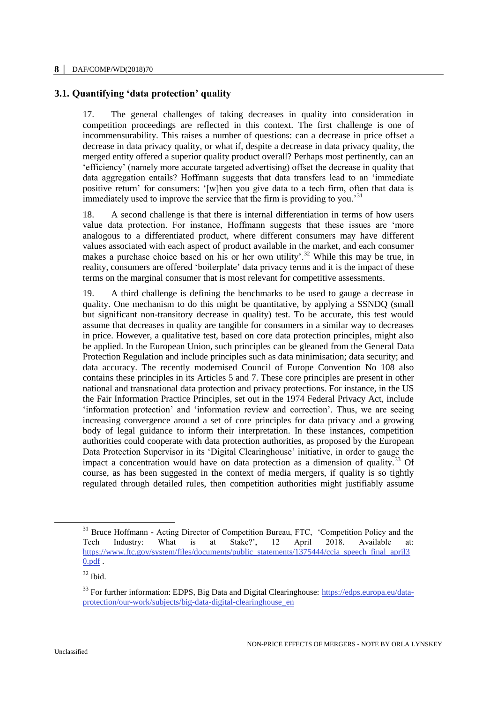# **3.1. Quantifying 'data protection' quality**

17. The general challenges of taking decreases in quality into consideration in competition proceedings are reflected in this context. The first challenge is one of incommensurability. This raises a number of questions: can a decrease in price offset a decrease in data privacy quality, or what if, despite a decrease in data privacy quality, the merged entity offered a superior quality product overall? Perhaps most pertinently, can an 'efficiency' (namely more accurate targeted advertising) offset the decrease in quality that data aggregation entails? Hoffmann suggests that data transfers lead to an 'immediate positive return' for consumers: '[w]hen you give data to a tech firm, often that data is immediately used to improve the service that the firm is providing to you.<sup>31</sup>

18. A second challenge is that there is internal differentiation in terms of how users value data protection. For instance, Hoffmann suggests that these issues are 'more analogous to a differentiated product, where different consumers may have different values associated with each aspect of product available in the market, and each consumer makes a purchase choice based on his or her own utility'.<sup>32</sup> While this may be true, in reality, consumers are offered 'boilerplate' data privacy terms and it is the impact of these terms on the marginal consumer that is most relevant for competitive assessments.

19. A third challenge is defining the benchmarks to be used to gauge a decrease in quality. One mechanism to do this might be quantitative, by applying a SSNDQ (small but significant non-transitory decrease in quality) test. To be accurate, this test would assume that decreases in quality are tangible for consumers in a similar way to decreases in price. However, a qualitative test, based on core data protection principles, might also be applied. In the European Union, such principles can be gleaned from the General Data Protection Regulation and include principles such as data minimisation; data security; and data accuracy. The recently modernised Council of Europe Convention No 108 also contains these principles in its Articles 5 and 7. These core principles are present in other national and transnational data protection and privacy protections. For instance, in the US the Fair Information Practice Principles, set out in the 1974 Federal Privacy Act, include 'information protection' and 'information review and correction'. Thus, we are seeing increasing convergence around a set of core principles for data privacy and a growing body of legal guidance to inform their interpretation. In these instances, competition authorities could cooperate with data protection authorities, as proposed by the European Data Protection Supervisor in its 'Digital Clearinghouse' initiative, in order to gauge the impact a concentration would have on data protection as a dimension of quality.<sup>33</sup> Of course, as has been suggested in the context of media mergers, if quality is so tightly regulated through detailed rules, then competition authorities might justifiably assume

<sup>&</sup>lt;sup>31</sup> Bruce Hoffmann - Acting Director of Competition Bureau, FTC, 'Competition Policy and the Tech Industry: What is at Stake?', 12 April 2018. Available at: [https://www.ftc.gov/system/files/documents/public\\_statements/1375444/ccia\\_speech\\_final\\_april3](https://www.ftc.gov/system/files/documents/public_statements/1375444/ccia_speech_final_april30.pdf)\_  $0.$ pdf.

 $32$  Ibid.

<sup>&</sup>lt;sup>33</sup> For further information: EDPS, Big Data and Digital Clearinghouse: [https://edps.europa.eu/data](https://edps.europa.eu/data-protection/our-work/subjects/big-data-digital-clearinghouse_en)[protection/our-work/subjects/big-data-digital-clearinghouse\\_en](https://edps.europa.eu/data-protection/our-work/subjects/big-data-digital-clearinghouse_en)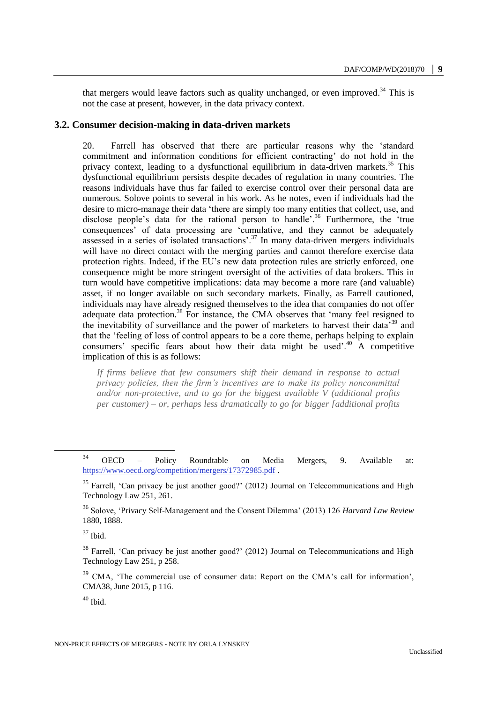that mergers would leave factors such as quality unchanged, or even improved.<sup>34</sup> This is not the case at present, however, in the data privacy context.

#### **3.2. Consumer decision-making in data-driven markets**

20. Farrell has observed that there are particular reasons why the 'standard commitment and information conditions for efficient contracting' do not hold in the privacy context, leading to a dysfunctional equilibrium in data-driven markets.<sup>35</sup> This dysfunctional equilibrium persists despite decades of regulation in many countries. The reasons individuals have thus far failed to exercise control over their personal data are numerous. Solove points to several in his work. As he notes, even if individuals had the desire to micro-manage their data 'there are simply too many entities that collect, use, and disclose people's data for the rational person to handle'.<sup>36</sup> Furthermore, the 'true consequences' of data processing are 'cumulative, and they cannot be adequately assessed in a series of isolated transactions'.<sup>37</sup> In many data-driven mergers individuals will have no direct contact with the merging parties and cannot therefore exercise data protection rights. Indeed, if the EU's new data protection rules are strictly enforced, one consequence might be more stringent oversight of the activities of data brokers. This in turn would have competitive implications: data may become a more rare (and valuable) asset, if no longer available on such secondary markets. Finally, as Farrell cautioned, individuals may have already resigned themselves to the idea that companies do not offer adequate data protection.<sup>38</sup> For instance, the CMA observes that 'many feel resigned to the inevitability of surveillance and the power of marketers to harvest their data'<sup>39</sup> and that the 'feeling of loss of control appears to be a core theme, perhaps helping to explain consumers' specific fears about how their data might be used'.<sup>40</sup> A competitive implication of this is as follows:

*If firms believe that few consumers shift their demand in response to actual privacy policies, then the firm's incentives are to make its policy noncommittal and/or non-protective, and to go for the biggest available V (additional profits per customer) – or, perhaps less dramatically to go for bigger [additional profits* 

 $\overline{a}$ 

<sup>39</sup> CMA, 'The commercial use of consumer data: Report on the CMA's call for information', CMA38, June 2015, p 116.

 $40$  Ibid.

<sup>&</sup>lt;sup>34</sup> OECD – Policy Roundtable on Media Mergers, 9. Available at: <https://www.oecd.org/competition/mergers/17372985.pdf> .

 $35$  Farrell, 'Can privacy be just another good?' (2012) Journal on Telecommunications and High Technology Law 251, 261.

<sup>36</sup> Solove, 'Privacy Self-Management and the Consent Dilemma' (2013) 126 *Harvard Law Review* 1880, 1888.

 $37$  Ibid.

<sup>&</sup>lt;sup>38</sup> Farrell, 'Can privacy be just another good?' (2012) Journal on Telecommunications and High Technology Law 251, p 258.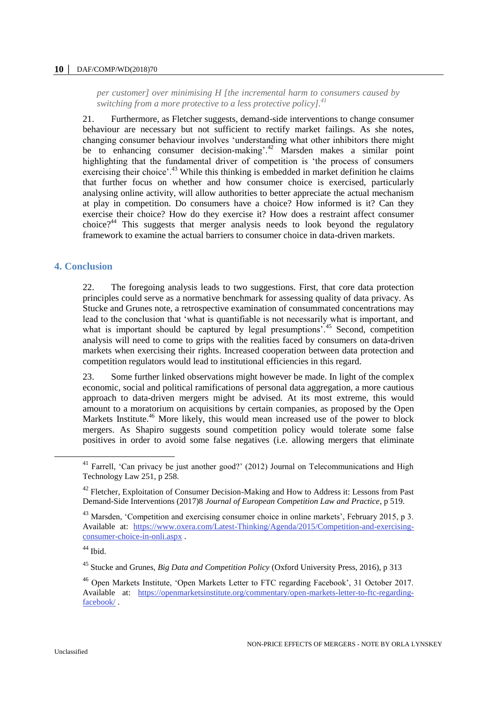#### **10 │** DAF/COMP/WD(2018)70

*per customer] over minimising H [the incremental harm to consumers caused by switching from a more protective to a less protective policy].<sup>41</sup>*

21. Furthermore, as Fletcher suggests, demand-side interventions to change consumer behaviour are necessary but not sufficient to rectify market failings. As she notes, changing consumer behaviour involves 'understanding what other inhibitors there might be to enhancing consumer decision-making'.<sup>42</sup> Marsden makes a similar point highlighting that the fundamental driver of competition is 'the process of consumers exercising their choice'.<sup>43</sup> While this thinking is embedded in market definition he claims that further focus on whether and how consumer choice is exercised, particularly analysing online activity, will allow authorities to better appreciate the actual mechanism at play in competition. Do consumers have a choice? How informed is it? Can they exercise their choice? How do they exercise it? How does a restraint affect consumer choice?<sup>44</sup> This suggests that merger analysis needs to look beyond the regulatory framework to examine the actual barriers to consumer choice in data-driven markets.

## **4. Conclusion**

22. The foregoing analysis leads to two suggestions. First, that core data protection principles could serve as a normative benchmark for assessing quality of data privacy. As Stucke and Grunes note, a retrospective examination of consummated concentrations may lead to the conclusion that 'what is quantifiable is not necessarily what is important, and what is important should be captured by legal presumptions<sup>'.45</sup> Second, competition analysis will need to come to grips with the realities faced by consumers on data-driven markets when exercising their rights. Increased cooperation between data protection and competition regulators would lead to institutional efficiencies in this regard.

23. Some further linked observations might however be made. In light of the complex economic, social and political ramifications of personal data aggregation, a more cautious approach to data-driven mergers might be advised. At its most extreme, this would amount to a moratorium on acquisitions by certain companies, as proposed by the Open Markets Institute.<sup>46</sup> More likely, this would mean increased use of the power to block mergers. As Shapiro suggests sound competition policy would tolerate some false positives in order to avoid some false negatives (i.e. allowing mergers that eliminate

<sup>44</sup> Ibid.

<sup>&</sup>lt;sup>41</sup> Farrell, 'Can privacy be just another good?' (2012) Journal on Telecommunications and High Technology Law 251, p 258.

<sup>&</sup>lt;sup>42</sup> Fletcher, Exploitation of Consumer Decision-Making and How to Address it: Lessons from Past Demand-Side Interventions (2017)8 *Journal of European Competition Law and Practice*, p 519.

<sup>&</sup>lt;sup>43</sup> Marsden, 'Competition and exercising consumer choice in online markets', February 2015, p 3. Available at: [https://www.oxera.com/Latest-Thinking/Agenda/2015/Competition-and-exercising](https://www.oxera.com/Latest-Thinking/Agenda/2015/Competition-and-exercising-consumer-choice-in-onli.aspx)[consumer-choice-in-onli.aspx](https://www.oxera.com/Latest-Thinking/Agenda/2015/Competition-and-exercising-consumer-choice-in-onli.aspx) .

<sup>45</sup> Stucke and Grunes, *Big Data and Competition Policy* (Oxford University Press, 2016), p 313

<sup>46</sup> Open Markets Institute, 'Open Markets Letter to FTC regarding Facebook', 31 October 2017. Available at: [https://openmarketsinstitute.org/commentary/open-markets-letter-to-ftc-regarding](https://openmarketsinstitute.org/commentary/open-markets-letter-to-ftc-regarding-facebook/)[facebook/](https://openmarketsinstitute.org/commentary/open-markets-letter-to-ftc-regarding-facebook/) .